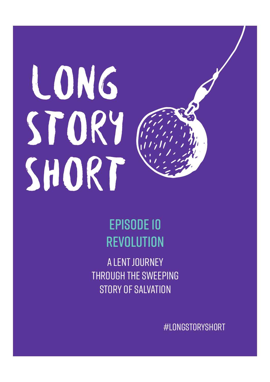# LONG STORY SHORT

# Episode 10 **REVOLUTION**

A Lent journey through the sweeping story of Salvation

#LongStoryShort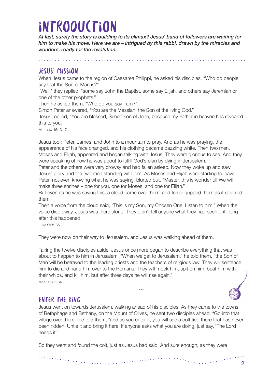# **INTRODUCTION**

*At last, surely the story is building to its climax? Jesus' band of followers are waiting for him to make his move. Here we are – intrigued by this rabbi, drawn by the miracles and wonders, ready for the revolution.*

#### Jesus' mission

When Jesus came to the region of Caesarea Philippi, he asked his disciples, "Who do people say that the Son of Man is?"

"Well," they replied, "some say John the Baptist, some say Elijah, and others say Jeremiah or one of the other prophets."

Then he asked them, "Who do you say I am?"

Simon Peter answered, "You are the Messiah, the Son of the living God."

Jesus replied, "You are blessed, Simon son of John, because my Father in heaven has revealed this to you."

Matthew 16:13-17

Jesus took Peter, James, and John to a mountain to pray. And as he was praying, the appearance of his face changed, and his clothing became dazzling white. Then two men, Moses and Elijah, appeared and began talking with Jesus. They were glorious to see. And they were speaking of how he was about to fulfill God's plan by dying in Jerusalem.

Peter and the others were very drowsy and had fallen asleep. Now they woke up and saw Jesus' glory and the two men standing with him. As Moses and Elijah were starting to leave, Peter, not even knowing what he was saying, blurted out, "Master, this is wonderful! We will make three shrines – one for you, one for Moses, and one for Elijah."

But even as he was saying this, a cloud came over them; and terror gripped them as it covered them.

Then a voice from the cloud said, "This is my Son, my Chosen One. Listen to him." When the voice died away, Jesus was there alone. They didn't tell anyone what they had seen until long after this happened.

Luke 9:28-36

They were now on their way to Jerusalem, and Jesus was walking ahead of them.

Taking the twelve disciples aside, Jesus once more began to describe everything that was about to happen to him in Jerusalem. "When we get to Jerusalem," he told them, "the Son of Man will be betrayed to the leading priests and the teachers of religious law. They will sentence him to die and hand him over to the Romans. They will mock him, spit on him, beat him with their whips, and kill him, but after three days he will rise again." Mark 10:32-34

**…**

# Enter the king

Jesus went on towards Jerusalem, walking ahead of his disciples. As they came to the towns of Bethphage and Bethany, on the Mount of Olives, he sent two disciples ahead. "Go into that village over there," he told them, "and as you enter it, you will see a colt tied there that has never been ridden. Untie it and bring it here. If anyone asks what you are doing, just say,"The Lord needs it."

So they went and found the colt, just as Jesus had said. And sure enough, as they were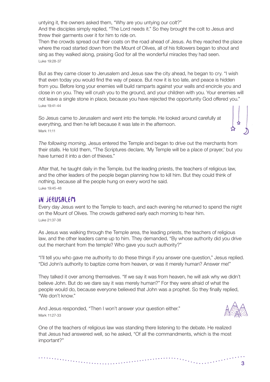untying it, the owners asked them, "Why are you untying our colt?" And the disciples simply replied, "The Lord needs it." So they brought the colt to Jesus and threw their garments over it for him to ride on.

Then the crowds spread out their coats on the road ahead of Jesus. As they reached the place where the road started down from the Mount of Olives, all of his followers began to shout and sing as they walked along, praising God for all the wonderful miracles they had seen. Luke 19:28-37

But as they came closer to Jerusalem and Jesus saw the city ahead, he began to cry. "I wish that even today you would find the way of peace. But now it is too late, and peace is hidden from you. Before long your enemies will build ramparts against your walls and encircle you and close in on you. They will crush you to the ground, and your children with you. Your enemies will not leave a single stone in place, because you have rejected the opportunity God offered you." Luke 19:41-44

So Jesus came to Jerusalem and went into the temple. He looked around carefully at everything, and then he left because it was late in the afternoon. Mark 11:11

*The following morning,* Jesus entered the Temple and began to drive out the merchants from their stalls. He told them, "The Scriptures declare, 'My Temple will be a place of prayer,' but you have turned it into a den of thieves."

After that, he taught daily in the Temple, but the leading priests, the teachers of religious law, and the other leaders of the people began planning how to kill him. But they could think of nothing, because all the people hung on every word he said. Luke 19:45-48

#### In Jerusalem

Every day Jesus went to the Temple to teach, and each evening he returned to spend the night on the Mount of Olives. The crowds gathered early each morning to hear him. Luke 21:37-38

As Jesus was walking through the Temple area, the leading priests, the teachers of religious law, and the other leaders came up to him. They demanded, "By whose authority did you drive out the merchant from the temple? Who gave you such authority?"

"I'll tell you who gave me authority to do these things if you answer one question," Jesus replied. "Did John's authority to baptize come from heaven, or was it merely human? Answer me!"

They talked it over among themselves. "If we say it was from heaven, he will ask why we didn't believe John. But do we dare say it was merely human?" For they were afraid of what the people would do, because everyone believed that John was a prophet. So they finally replied, "We don't know."

And Jesus responded, "Then I won't answer your question either." Mark 11:27-33

. The construction of the construction of the construction of the construction of the construction of the construction of the construction of the construction of the construction of the construction of the construction of



One of the teachers of religious law was standing there listening to the debate. He realized that Jesus had answered well, so he asked, "Of all the commandments, which is the most important?"

 $\label{eq:3} \begin{split} \mathcal{L}_{\text{R}}(\mathbf{r},\mathbf{r},\mathbf{r},\mathbf{r},\mathbf{r},\mathbf{r},\mathbf{r},\mathbf{r},\mathbf{r},\mathbf{r},\mathbf{r},\mathbf{r},\mathbf{r},\mathbf{r},\mathbf{r},\mathbf{r},\mathbf{r},\mathbf{r},\mathbf{r},\mathbf{r},\mathbf{r},\mathbf{r},\mathbf{r},\mathbf{r},\mathbf{r},\mathbf{r},\mathbf{r},\mathbf{r},\mathbf{r},\mathbf{r},\mathbf{r},\mathbf{r},\mathbf{r$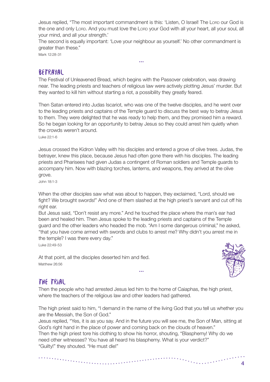Jesus replied, "The most important commandment is this: 'Listen, O Israel! The Lorp our God is the one and only Lorp. And you must love the Lorp your God with all your heart, all your soul, all your mind, and all your strength.'

The second is equally important: 'Love your neighbour as yourself.' No other commandment is greater than these."

**…**

Mark 12:28-31

#### Betrayal

The Festival of Unleavened Bread, which begins with the Passover celebration, was drawing near. The leading priests and teachers of religious law were actively plotting Jesus' murder. But they wanted to kill him without starting a riot, a possibility they greatly feared.

Then Satan entered into Judas Iscariot, who was one of the twelve disciples, and he went over to the leading priests and captains of the Temple guard to discuss the best way to betray Jesus to them. They were delighted that he was ready to help them, and they promised him a reward. So he began looking for an opportunity to betray Jesus so they could arrest him quietly when the crowds weren't around.

Luke 22:1-6

Jesus crossed the Kidron Valley with his disciples and entered a grove of olive trees. Judas, the betrayer, knew this place, because Jesus had often gone there with his disciples. The leading priests and Pharisees had given Judas a contingent of Roman soldiers and Temple guards to accompany him. Now with blazing torches, lanterns, and weapons, they arrived at the olive grove.

John 18:1-3

When the other disciples saw what was about to happen, they exclaimed, "Lord, should we fight? We brought swords!" And one of them slashed at the high priest's servant and cut off his right ear.

But Jesus said, "Don't resist any more." And he touched the place where the man's ear had been and healed him. Then Jesus spoke to the leading priests and captains of the Temple guard and the other leaders who headed the mob. "Am I some dangerous criminal," he asked, "that you have come armed with swords and clubs to arrest me? Why didn't you arrest me in the temple? I was there every day."

Luke 22:49-53

At that point, all the disciples deserted him and fled. Matthew 26:56



## The trial

Then the people who had arrested Jesus led him to the home of Caiaphas, the high priest, where the teachers of the religious law and other leaders had gathered.

The high priest said to him, "I demand in the name of the living God that you tell us whether you are the Messiah, the Son of God."

**…**

Jesus replied, "Yes, it is as you say. And in the future you will see me, the Son of Man, sitting at God's right hand in the place of power and coming back on the clouds of heaven."

Then the high priest tore his clothing to show his horror, shouting, "Blasphemy! Why do we need other witnesses? You have all heard his blasphemy. What is your verdict?" "Guilty!" they shouted. "He must die!"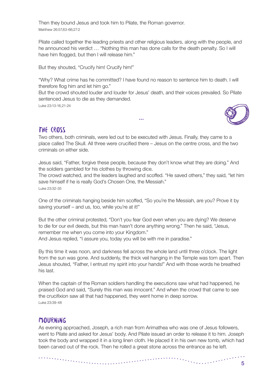Then they bound Jesus and took him to Pilate, the Roman governor. Matthew 26:57,63-66;27:2

Pilate called together the leading priests and other religious leaders, along with the people, and he announced his verdict … "Nothing this man has done calls for the death penalty. So I will have him flogged, but then I will release him."

But they shouted, "Crucify him! Crucify him!"

"Why? What crime has he committed? I have found no reason to sentence him to death. I will therefore flog him and let him go."

But the crowd shouted louder and louder for Jesus' death, and their voices prevailed. So Pilate sentenced Jesus to die as they demanded.

**…**

Luke 23:13-16,21-24



## The cross

Two others, both criminals, were led out to be executed with Jesus. Finally, they came to a place called The Skull. All three were crucified there – Jesus on the centre cross, and the two criminals on either side.

Jesus said, "Father, forgive these people, because they don't know what they are doing." And the soldiers gambled for his clothes by throwing dice.

The crowd watched, and the leaders laughed and scoffed. "He saved others," they said, "let him save himself if he is really God's Chosen One, the Messiah."

Luke 23:32-35

One of the criminals hanging beside him scoffed, "So you're the Messiah, are you? Prove it by saving yourself – and us, too, while you're at it!"

But the other criminal protested, "Don't you fear God even when you are dying? We deserve to die for our evil deeds, but this man hasn't done anything wrong." Then he said, "Jesus, remember me when you come into your Kingdom." And Jesus replied, "I assure you, today you will be with me in paradise."

By this time it was noon, and darkness fell across the whole land until three o'clock. The light from the sun was gone. And suddenly, the thick veil hanging in the Temple was torn apart. Then Jesus shouted, "Father, I entrust my spirit into your hands!" And with those words he breathed his last.

When the captain of the Roman soldiers handling the executions saw what had happened, he praised God and said, "Surely this man was innocent." And when the crowd that came to see the crucifixion saw all that had happened, they went home in deep sorrow. Luke 23:39-48

## Mourning

As evening approached, Joseph, a rich man from Arimathea who was one of Jesus followers, went to Pilate and asked for Jesus' body. And Pilate issued an order to release it to him. Joseph took the body and wrapped it in a long linen cloth. He placed it in his own new tomb, which had been carved out of the rock. Then he rolled a great stone across the entrance as he left.